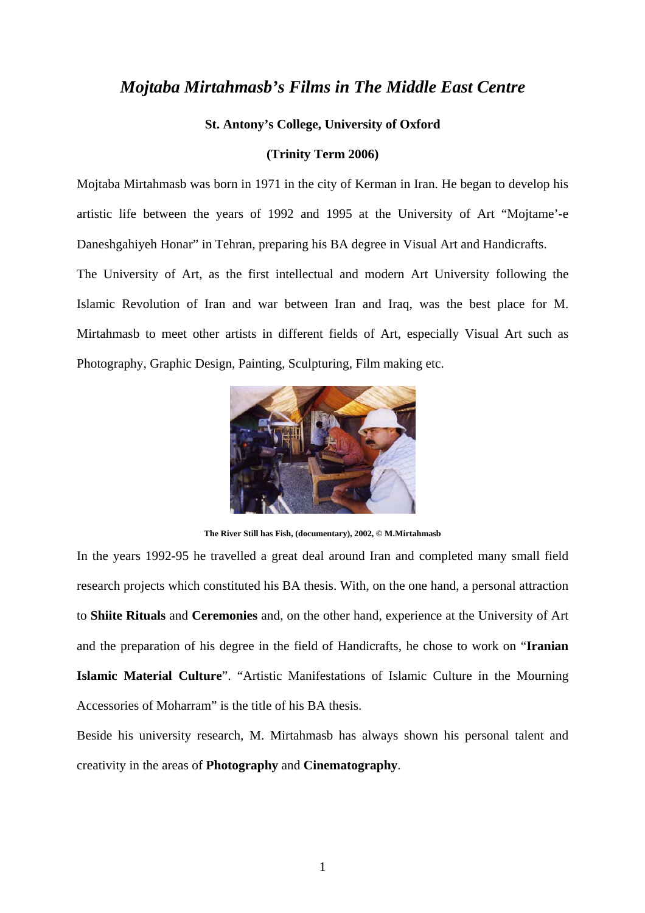## *Mojtaba Mirtahmasb's Films in The Middle East Centre*

## **St. Antony's College, University of Oxford**

## **(Trinity Term 2006)**

Mojtaba Mirtahmasb was born in 1971 in the city of Kerman in Iran. He began to develop his artistic life between the years of 1992 and 1995 at the University of Art "Mojtame'-e Daneshgahiyeh Honar" in Tehran, preparing his BA degree in Visual Art and Handicrafts. The University of Art, as the first intellectual and modern Art University following the Islamic Revolution of Iran and war between Iran and Iraq, was the best place for M.

Mirtahmasb to meet other artists in different fields of Art, especially Visual Art such as

Photography, Graphic Design, Painting, Sculpturing, Film making etc.



**The River Still has Fish, (documentary), 2002, © M.Mirtahmasb** 

In the years 1992-95 he travelled a great deal around Iran and completed many small field research projects which constituted his BA thesis. With, on the one hand, a personal attraction to **Shiite Rituals** and **Ceremonies** and, on the other hand, experience at the University of Art and the preparation of his degree in the field of Handicrafts, he chose to work on "**Iranian Islamic Material Culture**". "Artistic Manifestations of Islamic Culture in the Mourning Accessories of Moharram" is the title of his BA thesis.

Beside his university research, M. Mirtahmasb has always shown his personal talent and creativity in the areas of **Photography** and **Cinematography**.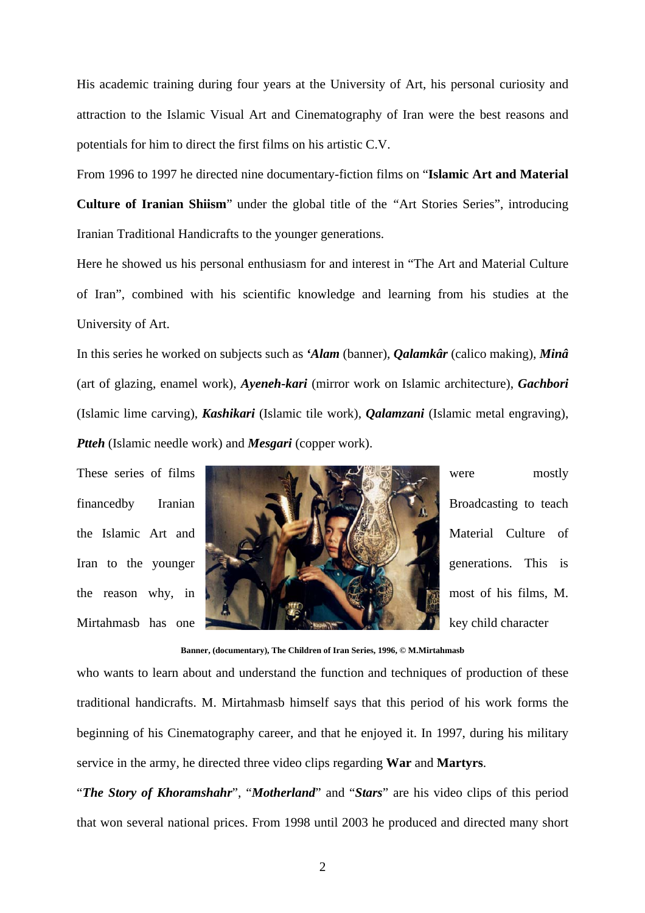His academic training during four years at the University of Art, his personal curiosity and attraction to the Islamic Visual Art and Cinematography of Iran were the best reasons and potentials for him to direct the first films on his artistic C.V.

From 1996 to 1997 he directed nine documentary-fiction films on "**Islamic Art and Material Culture of Iranian Shiism**" under the global title of the *"*Art Stories Series", introducing Iranian Traditional Handicrafts to the younger generations.

Here he showed us his personal enthusiasm for and interest in "The Art and Material Culture of Iran", combined with his scientific knowledge and learning from his studies at the University of Art.

In this series he worked on subjects such as *'Alam* (banner), *Qalamkâr* (calico making), *Minâ* (art of glazing, enamel work), *Ayeneh-kari* (mirror work on Islamic architecture), *Gachbori* (Islamic lime carving), *Kashikari* (Islamic tile work), *Qalamzani* (Islamic metal engraving), *Ptteh* (Islamic needle work) and *Mesgari* (copper work).



**Banner, (documentary), The Children of Iran Series, 1996, © M.Mirtahmasb** 

who wants to learn about and understand the function and techniques of production of these traditional handicrafts. M. Mirtahmasb himself says that this period of his work forms the beginning of his Cinematography career, and that he enjoyed it. In 1997, during his military service in the army, he directed three video clips regarding **War** and **Martyrs**.

"*The Story of Khoramshahr*", "*Motherland*" and "*Stars*" are his video clips of this period that won several national prices. From 1998 until 2003 he produced and directed many short